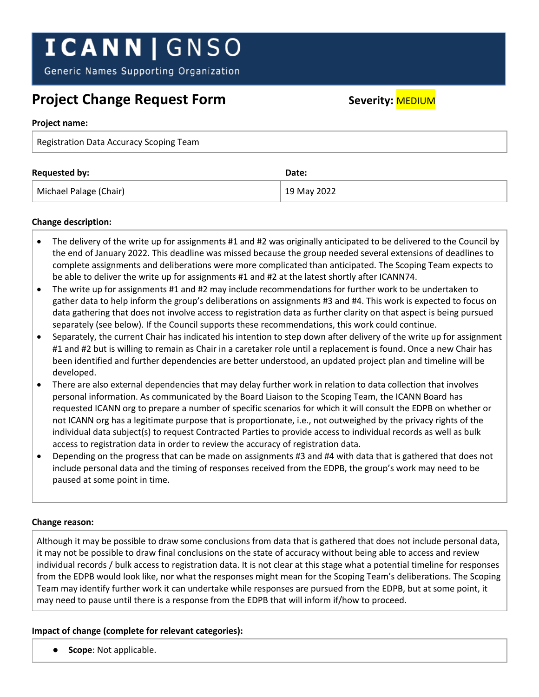# **ICANN | GNSO**

Generic Names Supporting Organization

## **Project Change Request Form** Severity: **MEDIUM**

#### **Project name:**

| Registration Data Accuracy Scoping Team |             |
|-----------------------------------------|-------------|
| <b>Requested by:</b>                    | Date:       |
| Michael Palage (Chair)                  | 19 May 2022 |

### **Change description:**

- The delivery of the write up for assignments #1 and #2 was originally anticipated to be delivered to the Council by the end of January 2022. This deadline was missed because the group needed several extensions of deadlines to complete assignments and deliberations were more complicated than anticipated. The Scoping Team expects to be able to deliver the write up for assignments #1 and #2 at the latest shortly after ICANN74.
- The write up for assignments #1 and #2 may include recommendations for further work to be undertaken to gather data to help inform the group's deliberations on assignments #3 and #4. This work is expected to focus on data gathering that does not involve access to registration data as further clarity on that aspect is being pursued separately (see below). If the Council supports these recommendations, this work could continue.
- Separately, the current Chair has indicated his intention to step down after delivery of the write up for assignment #1 and #2 but is willing to remain as Chair in a caretaker role until a replacement is found. Once a new Chair has been identified and further dependencies are better understood, an updated project plan and timeline will be developed.
- There are also external dependencies that may delay further work in relation to data collection that involves personal information. As communicated by the Board Liaison to the Scoping Team, the ICANN Board has requested ICANN org to prepare a number of specific scenarios for which it will consult the EDPB on whether or not ICANN org has a legitimate purpose that is proportionate, i.e., not outweighed by the privacy rights of the individual data subject(s) to request Contracted Parties to provide access to individual records as well as bulk access to registration data in order to review the accuracy of registration data.
- Depending on the progress that can be made on assignments #3 and #4 with data that is gathered that does not include personal data and the timing of responses received from the EDPB, the group's work may need to be paused at some point in time.

### **Change reason:**

Although it may be possible to draw some conclusions from data that is gathered that does not include personal data, it may not be possible to draw final conclusions on the state of accuracy without being able to access and review individual records / bulk access to registration data. It is not clear at this stage what a potential timeline for responses from the EDPB would look like, nor what the responses might mean for the Scoping Team's deliberations. The Scoping Team may identify further work it can undertake while responses are pursued from the EDPB, but at some point, it may need to pause until there is a response from the EDPB that will inform if/how to proceed.

### **Impact of change (complete for relevant categories):**

● **Scope**: Not applicable.